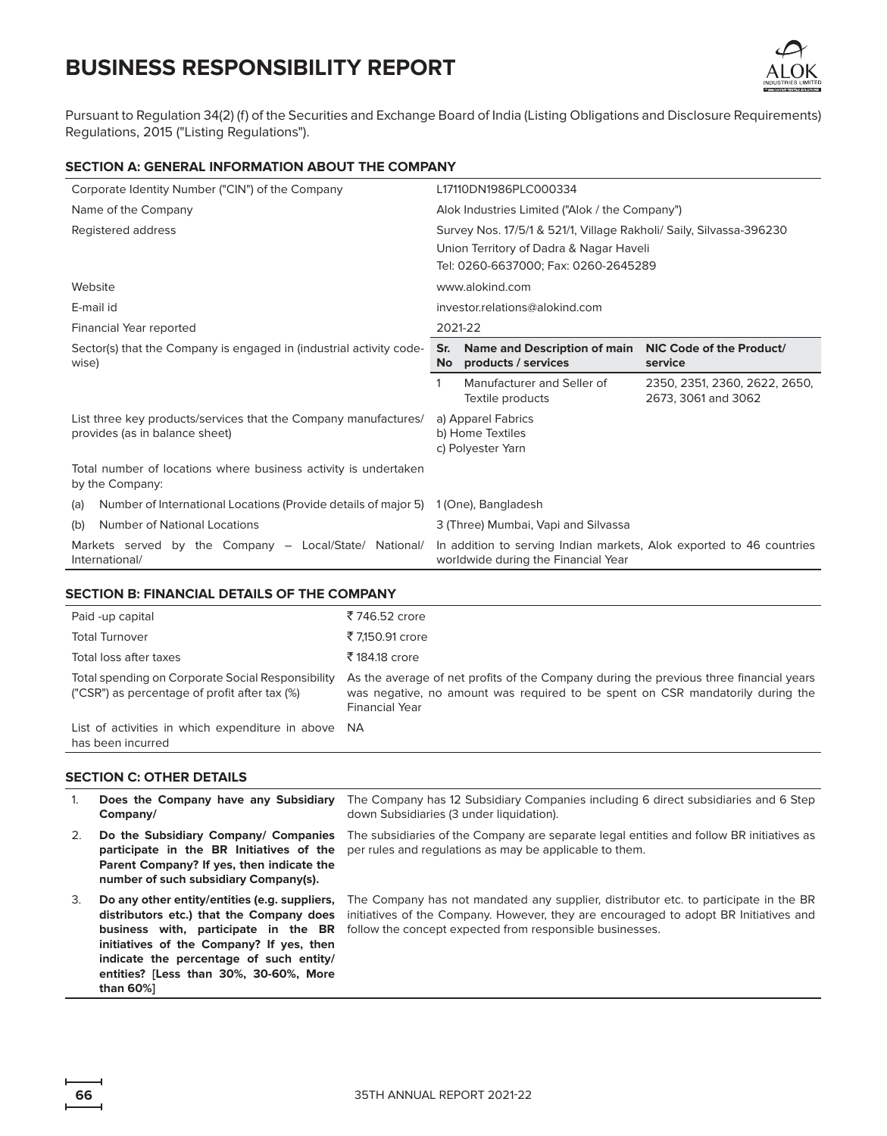

Pursuant to Regulation 34(2) (f) of the Securities and Exchange Board of India (Listing Obligations and Disclosure Requirements) Regulations, 2015 ("Listing Regulations").

### **SECTION A: GENERAL INFORMATION ABOUT THE COMPANY**

| Corporate Identity Number ("CIN") of the Company                                                  | L17110DN1986PLC000334                                                                                          |  |  |  |  |  |
|---------------------------------------------------------------------------------------------------|----------------------------------------------------------------------------------------------------------------|--|--|--|--|--|
| Name of the Company                                                                               | Alok Industries Limited ("Alok / the Company")                                                                 |  |  |  |  |  |
| Registered address                                                                                | Survey Nos. 17/5/1 & 521/1, Village Rakholi/ Saily, Silvassa-396230                                            |  |  |  |  |  |
|                                                                                                   | Union Territory of Dadra & Nagar Haveli                                                                        |  |  |  |  |  |
|                                                                                                   | Tel: 0260-6637000; Fax: 0260-2645289                                                                           |  |  |  |  |  |
| Website                                                                                           | www.alokind.com                                                                                                |  |  |  |  |  |
| E-mail id                                                                                         | investor.relations@alokind.com                                                                                 |  |  |  |  |  |
| Financial Year reported                                                                           | 2021-22                                                                                                        |  |  |  |  |  |
| Sector(s) that the Company is engaged in (industrial activity code-<br>wise)                      | Name and Description of main<br>NIC Code of the Product/<br>Sr.<br>products / services<br><b>No</b><br>service |  |  |  |  |  |
|                                                                                                   | Manufacturer and Seller of<br>2350, 2351, 2360, 2622, 2650,<br>2673, 3061 and 3062<br>Textile products         |  |  |  |  |  |
| List three key products/services that the Company manufactures/<br>provides (as in balance sheet) | a) Apparel Fabrics<br>b) Home Textiles<br>c) Polyester Yarn                                                    |  |  |  |  |  |
| Total number of locations where business activity is undertaken<br>by the Company:                |                                                                                                                |  |  |  |  |  |
| Number of International Locations (Provide details of major 5)<br>(a)                             | 1 (One), Bangladesh                                                                                            |  |  |  |  |  |
| <b>Number of National Locations</b><br>(b)                                                        | 3 (Three) Mumbai, Vapi and Silvassa                                                                            |  |  |  |  |  |
| Markets served by the Company - Local/State/ National/<br>International/                          | In addition to serving Indian markets, Alok exported to 46 countries<br>worldwide during the Financial Year    |  |  |  |  |  |

#### **SECTION B: FINANCIAL DETAILS OF THE COMPANY**

| Paid -up capital                                                                                   | ₹746.52 crore                                                                                                                                                                                     |
|----------------------------------------------------------------------------------------------------|---------------------------------------------------------------------------------------------------------------------------------------------------------------------------------------------------|
| <b>Total Turnover</b>                                                                              | ₹7,150.91 crore                                                                                                                                                                                   |
| Total loss after taxes                                                                             | ₹184.18 crore                                                                                                                                                                                     |
| Total spending on Corporate Social Responsibility<br>("CSR") as percentage of profit after tax (%) | As the average of net profits of the Company during the previous three financial years<br>was negative, no amount was required to be spent on CSR mandatorily during the<br><b>Financial Year</b> |
| List of activities in which expenditure in above NA<br>has been incurred                           |                                                                                                                                                                                                   |

### **SECTION C: OTHER DETAILS**

| 1. | Does the Company have any Subsidiary<br>Company/                                                                                                                                                                                                                                | The Company has 12 Subsidiary Companies including 6 direct subsidiaries and 6 Step<br>down Subsidiaries (3 under liquidation).                                                                                                           |
|----|---------------------------------------------------------------------------------------------------------------------------------------------------------------------------------------------------------------------------------------------------------------------------------|------------------------------------------------------------------------------------------------------------------------------------------------------------------------------------------------------------------------------------------|
| 2. | Do the Subsidiary Company/ Companies<br>participate in the BR Initiatives of the<br>Parent Company? If yes, then indicate the<br>number of such subsidiary Company(s).                                                                                                          | The subsidiaries of the Company are separate legal entities and follow BR initiatives as<br>per rules and regulations as may be applicable to them.                                                                                      |
| 3. | Do any other entity/entities (e.g. suppliers,<br>distributors etc.) that the Company does<br>business with, participate in the BR<br>initiatives of the Company? If yes, then<br>indicate the percentage of such entity/<br>entities? [Less than 30%, 30-60%, More<br>than 60%1 | The Company has not mandated any supplier, distributor etc. to participate in the BR<br>initiatives of the Company. However, they are encouraged to adopt BR Initiatives and<br>follow the concept expected from responsible businesses. |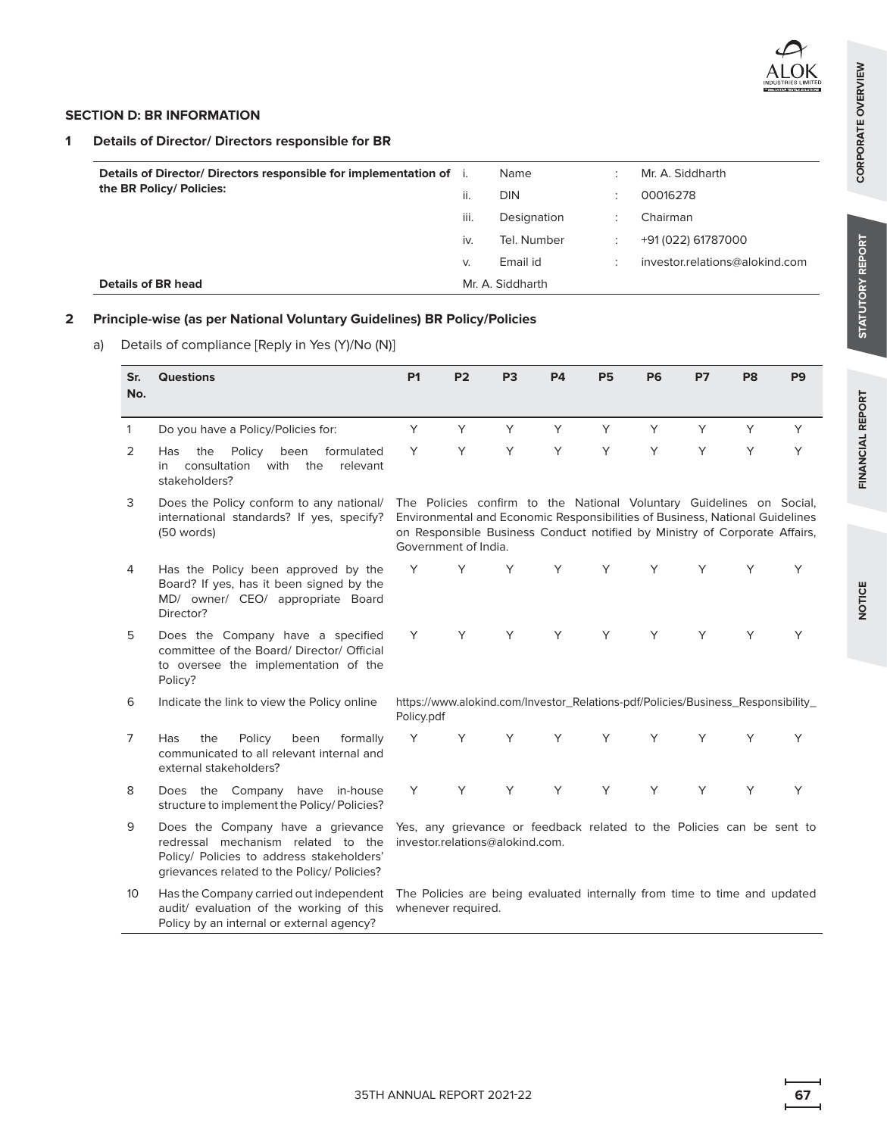### **SECTION D: BR INFORMATION**

## **1 Details of Director/ Directors responsible for BR**

| Details of Director/ Directors responsible for implementation of i.<br>the BR Policy/ Policies: | н.   | Name<br>DIN      |  | Mr. A. Siddharth<br>00016278   |
|-------------------------------------------------------------------------------------------------|------|------------------|--|--------------------------------|
|                                                                                                 | iii. | Designation      |  | Chairman                       |
|                                                                                                 | İV.  | Tel. Number      |  | +91 (022) 61787000             |
|                                                                                                 | V.   | Email id         |  | investor.relations@alokind.com |
| <b>Details of BR head</b>                                                                       |      | Mr. A. Siddharth |  |                                |

## **2 Principle-wise (as per National Voluntary Guidelines) BR Policy/Policies**

a) Details of compliance [Reply in Yes (Y)/No (N)]

| Sr.<br>No.      | <b>Questions</b>                                                                                                                                                    | <b>P1</b>  | <b>P2</b>            | P <sub>3</sub>                                                                                                                                                                                                                     | <b>P4</b> | <b>P5</b> | <b>P6</b> | <b>P7</b> | P8 | P <sub>9</sub> |
|-----------------|---------------------------------------------------------------------------------------------------------------------------------------------------------------------|------------|----------------------|------------------------------------------------------------------------------------------------------------------------------------------------------------------------------------------------------------------------------------|-----------|-----------|-----------|-----------|----|----------------|
|                 |                                                                                                                                                                     |            |                      |                                                                                                                                                                                                                                    |           |           |           |           |    |                |
| $\mathbf{1}$    | Do you have a Policy/Policies for:                                                                                                                                  | Y          | Y                    | Y                                                                                                                                                                                                                                  | Y         | Y         | Y         | Y         | Y  | Y              |
| 2               | the<br>Policy<br>been<br>formulated<br><b>Has</b><br>consultation<br>with the<br>relevant<br>in<br>stakeholders?                                                    | Y          | Y                    | Y                                                                                                                                                                                                                                  | Y         | Y         | Y         | Y         | Y  | Y              |
| 3               | Does the Policy conform to any national/<br>international standards? If yes, specify?<br>(50 words)                                                                 |            | Government of India. | The Policies confirm to the National Voluntary Guidelines on Social,<br>Environmental and Economic Responsibilities of Business, National Guidelines<br>on Responsible Business Conduct notified by Ministry of Corporate Affairs, |           |           |           |           |    |                |
| 4               | Has the Policy been approved by the<br>Board? If yes, has it been signed by the<br>MD/ owner/ CEO/ appropriate Board<br>Director?                                   | Υ          | Υ                    | Y                                                                                                                                                                                                                                  | Y         | Y         | Y         | Y         | Y  | Y              |
| 5               | Does the Company have a specified<br>committee of the Board/ Director/ Official<br>to oversee the implementation of the<br>Policy?                                  | Y          | Y                    | Y                                                                                                                                                                                                                                  | Y         | Y         | Y         | Y         | Υ  | Y              |
| 6               | Indicate the link to view the Policy online                                                                                                                         | Policy.pdf |                      | https://www.alokind.com/Investor_Relations-pdf/Policies/Business_Responsibility_                                                                                                                                                   |           |           |           |           |    |                |
| 7               | formally<br><b>Has</b><br>the<br>Policy<br>been<br>communicated to all relevant internal and<br>external stakeholders?                                              | Y          | Y                    | Y                                                                                                                                                                                                                                  | Y         | Y         | Y         | Y         | Υ  | Y              |
| 8               | Does the Company have in-house<br>structure to implement the Policy/Policies?                                                                                       | Y          | Y                    | Y                                                                                                                                                                                                                                  | Y         | Y         | Y         | Y         | Y  | Y              |
| 9               | Does the Company have a grievance<br>redressal mechanism related to the<br>Policy/ Policies to address stakeholders'<br>grievances related to the Policy/ Policies? |            |                      | Yes, any grievance or feedback related to the Policies can be sent to<br>investor.relations@alokind.com.                                                                                                                           |           |           |           |           |    |                |
| 10 <sup>°</sup> | Has the Company carried out independent<br>audit/ evaluation of the working of this<br>Policy by an internal or external agency?                                    |            | whenever required.   | The Policies are being evaluated internally from time to time and updated                                                                                                                                                          |           |           |           |           |    |                |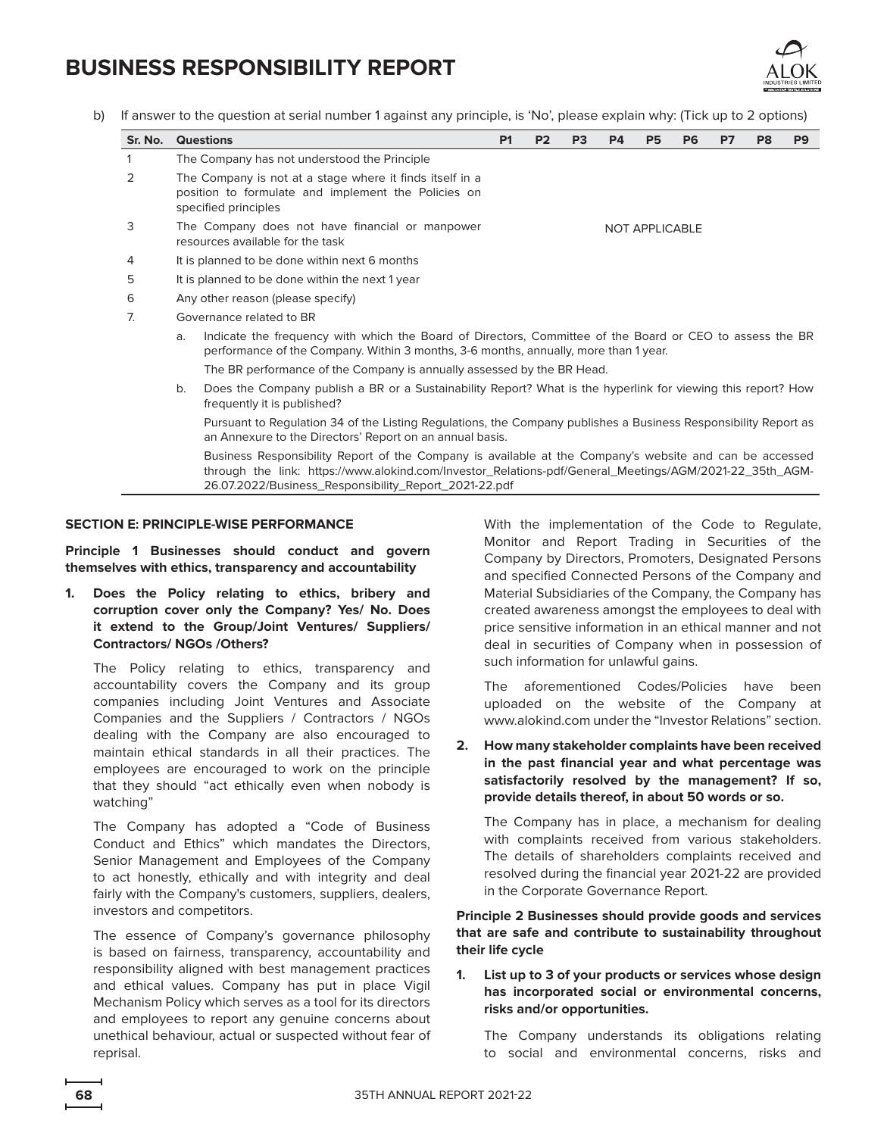

b) If answer to the question at serial number 1 against any principle, is 'No', please explain why: (Tick up to 2 options)

| Sr. No. |                                                                                                                                                                                                        | <b>Questions</b>                                                                                                                                                                                                                                                            | P <sub>1</sub> | <b>P2</b> | P <sub>3</sub> | <b>P4</b> | <b>P5</b>             | P <sub>6</sub> | P7 | P <sub>8</sub> | P <sub>9</sub> |
|---------|--------------------------------------------------------------------------------------------------------------------------------------------------------------------------------------------------------|-----------------------------------------------------------------------------------------------------------------------------------------------------------------------------------------------------------------------------------------------------------------------------|----------------|-----------|----------------|-----------|-----------------------|----------------|----|----------------|----------------|
|         |                                                                                                                                                                                                        | The Company has not understood the Principle                                                                                                                                                                                                                                |                |           |                |           |                       |                |    |                |                |
| 2       |                                                                                                                                                                                                        | The Company is not at a stage where it finds itself in a<br>position to formulate and implement the Policies on<br>specified principles                                                                                                                                     |                |           |                |           |                       |                |    |                |                |
| 3       |                                                                                                                                                                                                        | The Company does not have financial or manpower<br>resources available for the task                                                                                                                                                                                         |                |           |                |           | <b>NOT APPLICABLE</b> |                |    |                |                |
| 4       |                                                                                                                                                                                                        | It is planned to be done within next 6 months                                                                                                                                                                                                                               |                |           |                |           |                       |                |    |                |                |
| 5       |                                                                                                                                                                                                        | It is planned to be done within the next 1 year                                                                                                                                                                                                                             |                |           |                |           |                       |                |    |                |                |
| 6       |                                                                                                                                                                                                        | Any other reason (please specify)                                                                                                                                                                                                                                           |                |           |                |           |                       |                |    |                |                |
| 7.      |                                                                                                                                                                                                        | Governance related to BR                                                                                                                                                                                                                                                    |                |           |                |           |                       |                |    |                |                |
|         | Indicate the frequency with which the Board of Directors, Committee of the Board or CEO to assess the BR<br>a.<br>performance of the Company. Within 3 months, 3-6 months, annually, more than 1 year. |                                                                                                                                                                                                                                                                             |                |           |                |           |                       |                |    |                |                |
|         | The BR performance of the Company is annually assessed by the BR Head.                                                                                                                                 |                                                                                                                                                                                                                                                                             |                |           |                |           |                       |                |    |                |                |
|         | Does the Company publish a BR or a Sustainability Report? What is the hyperlink for viewing this report? How<br>b.<br>frequently it is published?                                                      |                                                                                                                                                                                                                                                                             |                |           |                |           |                       |                |    |                |                |
|         | Pursuant to Regulation 34 of the Listing Regulations, the Company publishes a Business Responsibility Report as<br>an Annexure to the Directors' Report on an annual basis.                            |                                                                                                                                                                                                                                                                             |                |           |                |           |                       |                |    |                |                |
|         |                                                                                                                                                                                                        | Business Responsibility Report of the Company is available at the Company's website and can be accessed<br>through the link: https://www.alokind.com/Investor_Relations-pdf/General_Meetings/AGM/2021-22_35th_AGM-<br>26.07.2022/Business_Responsibility_Report_2021-22.pdf |                |           |                |           |                       |                |    |                |                |

#### **SECTION E: PRINCIPLE-WISE PERFORMANCE**

**Principle 1 Businesses should conduct and govern themselves with ethics, transparency and accountability**

**1. Does the Policy relating to ethics, bribery and corruption cover only the Company? Yes/ No. Does it extend to the Group/Joint Ventures/ Suppliers/ Contractors/ NGOs /Others?**

The Policy relating to ethics, transparency and accountability covers the Company and its group companies including Joint Ventures and Associate Companies and the Suppliers / Contractors / NGOs dealing with the Company are also encouraged to maintain ethical standards in all their practices. The employees are encouraged to work on the principle that they should "act ethically even when nobody is watching"

The Company has adopted a "Code of Business Conduct and Ethics" which mandates the Directors, Senior Management and Employees of the Company to act honestly, ethically and with integrity and deal fairly with the Company's customers, suppliers, dealers, investors and competitors.

The essence of Company's governance philosophy is based on fairness, transparency, accountability and responsibility aligned with best management practices and ethical values. Company has put in place Vigil Mechanism Policy which serves as a tool for its directors and employees to report any genuine concerns about unethical behaviour, actual or suspected without fear of reprisal.

With the implementation of the Code to Regulate, Monitor and Report Trading in Securities of the Company by Directors, Promoters, Designated Persons and specified Connected Persons of the Company and Material Subsidiaries of the Company, the Company has created awareness amongst the employees to deal with price sensitive information in an ethical manner and not deal in securities of Company when in possession of such information for unlawful gains.

The aforementioned Codes/Policies have been uploaded on the website of the Company at <www.alokind.com>under the "Investor Relations" section.

**2. How many stakeholder complaints have been received in the past financial year and what percentage was satisfactorily resolved by the management? If so, provide details thereof, in about 50 words or so.**

The Company has in place, a mechanism for dealing with complaints received from various stakeholders. The details of shareholders complaints received and resolved during the financial year 2021-22 are provided in the Corporate Governance Report.

**Principle 2 Businesses should provide goods and services that are safe and contribute to sustainability throughout their life cycle**

### **1. List up to 3 of your products or services whose design has incorporated social or environmental concerns, risks and/or opportunities.**

The Company understands its obligations relating to social and environmental concerns, risks and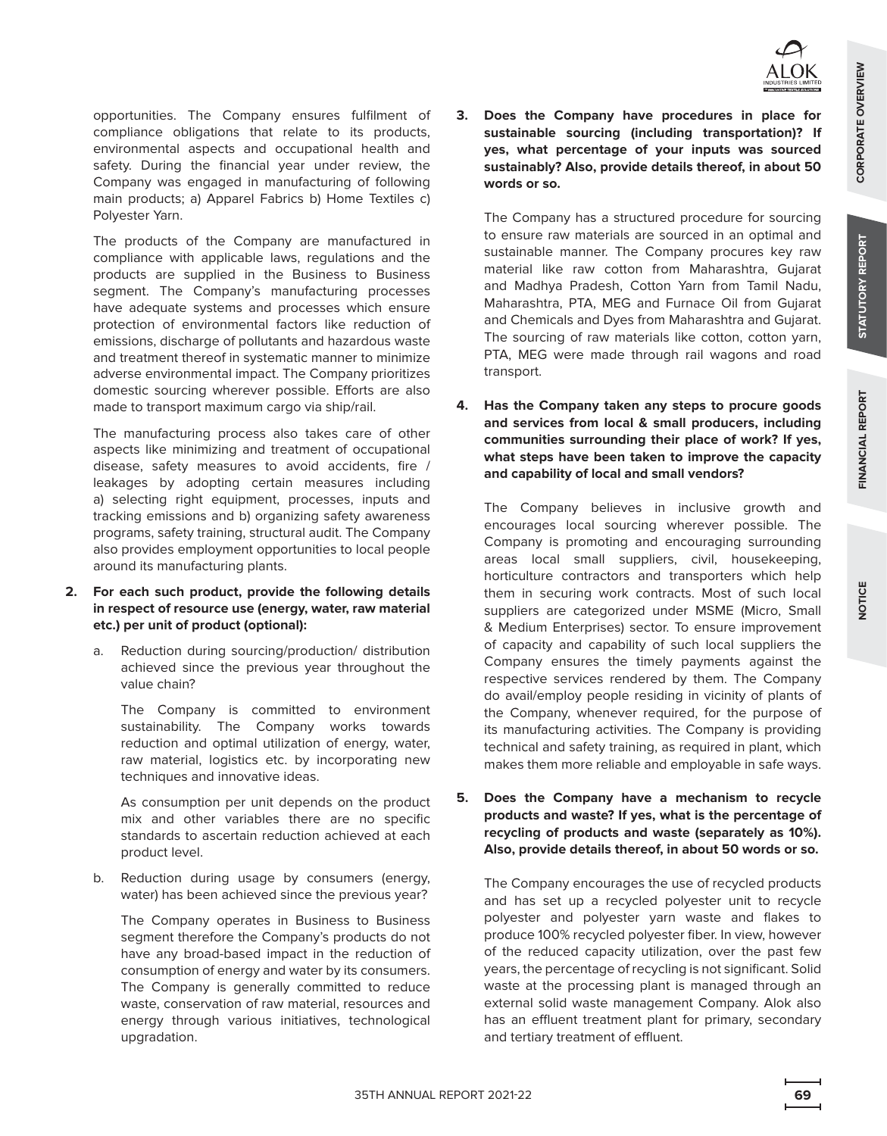opportunities. The Company ensures fulfilment of compliance obligations that relate to its products, environmental aspects and occupational health and safety. During the financial year under review, the Company was engaged in manufacturing of following main products; a) Apparel Fabrics b) Home Textiles c) Polyester Yarn.

The products of the Company are manufactured in compliance with applicable laws, regulations and the products are supplied in the Business to Business segment. The Company's manufacturing processes have adequate systems and processes which ensure protection of environmental factors like reduction of emissions, discharge of pollutants and hazardous waste and treatment thereof in systematic manner to minimize adverse environmental impact. The Company prioritizes domestic sourcing wherever possible. Efforts are also made to transport maximum cargo via ship/rail.

The manufacturing process also takes care of other aspects like minimizing and treatment of occupational disease, safety measures to avoid accidents, fire / leakages by adopting certain measures including a) selecting right equipment, processes, inputs and tracking emissions and b) organizing safety awareness programs, safety training, structural audit. The Company also provides employment opportunities to local people around its manufacturing plants.

- **2. For each such product, provide the following details in respect of resource use (energy, water, raw material etc.) per unit of product (optional):**
	- a. Reduction during sourcing/production/ distribution achieved since the previous year throughout the value chain?

 The Company is committed to environment sustainability. The Company works towards reduction and optimal utilization of energy, water, raw material, logistics etc. by incorporating new techniques and innovative ideas.

 As consumption per unit depends on the product mix and other variables there are no specific standards to ascertain reduction achieved at each product level.

b. Reduction during usage by consumers (energy, water) has been achieved since the previous year?

 The Company operates in Business to Business segment therefore the Company's products do not have any broad-based impact in the reduction of consumption of energy and water by its consumers. The Company is generally committed to reduce waste, conservation of raw material, resources and energy through various initiatives, technological upgradation.

**3. Does the Company have procedures in place for sustainable sourcing (including transportation)? If yes, what percentage of your inputs was sourced sustainably? Also, provide details thereof, in about 50 words or so.**

The Company has a structured procedure for sourcing to ensure raw materials are sourced in an optimal and sustainable manner. The Company procures key raw material like raw cotton from Maharashtra, Gujarat and Madhya Pradesh, Cotton Yarn from Tamil Nadu, Maharashtra, PTA, MEG and Furnace Oil from Gujarat and Chemicals and Dyes from Maharashtra and Gujarat. The sourcing of raw materials like cotton, cotton yarn, PTA, MEG were made through rail wagons and road transport.

**4. Has the Company taken any steps to procure goods and services from local & small producers, including communities surrounding their place of work? If yes, what steps have been taken to improve the capacity and capability of local and small vendors?**

The Company believes in inclusive growth and encourages local sourcing wherever possible. The Company is promoting and encouraging surrounding areas local small suppliers, civil, housekeeping, horticulture contractors and transporters which help them in securing work contracts. Most of such local suppliers are categorized under MSME (Micro, Small & Medium Enterprises) sector. To ensure improvement of capacity and capability of such local suppliers the Company ensures the timely payments against the respective services rendered by them. The Company do avail/employ people residing in vicinity of plants of the Company, whenever required, for the purpose of its manufacturing activities. The Company is providing technical and safety training, as required in plant, which makes them more reliable and employable in safe ways.

**5. Does the Company have a mechanism to recycle products and waste? If yes, what is the percentage of recycling of products and waste (separately as 10%). Also, provide details thereof, in about 50 words or so.**

The Company encourages the use of recycled products and has set up a recycled polyester unit to recycle polyester and polyester yarn waste and flakes to produce 100% recycled polyester fiber. In view, however of the reduced capacity utilization, over the past few years, the percentage of recycling is not significant. Solid waste at the processing plant is managed through an external solid waste management Company. Alok also has an effluent treatment plant for primary, secondary and tertiary treatment of effluent.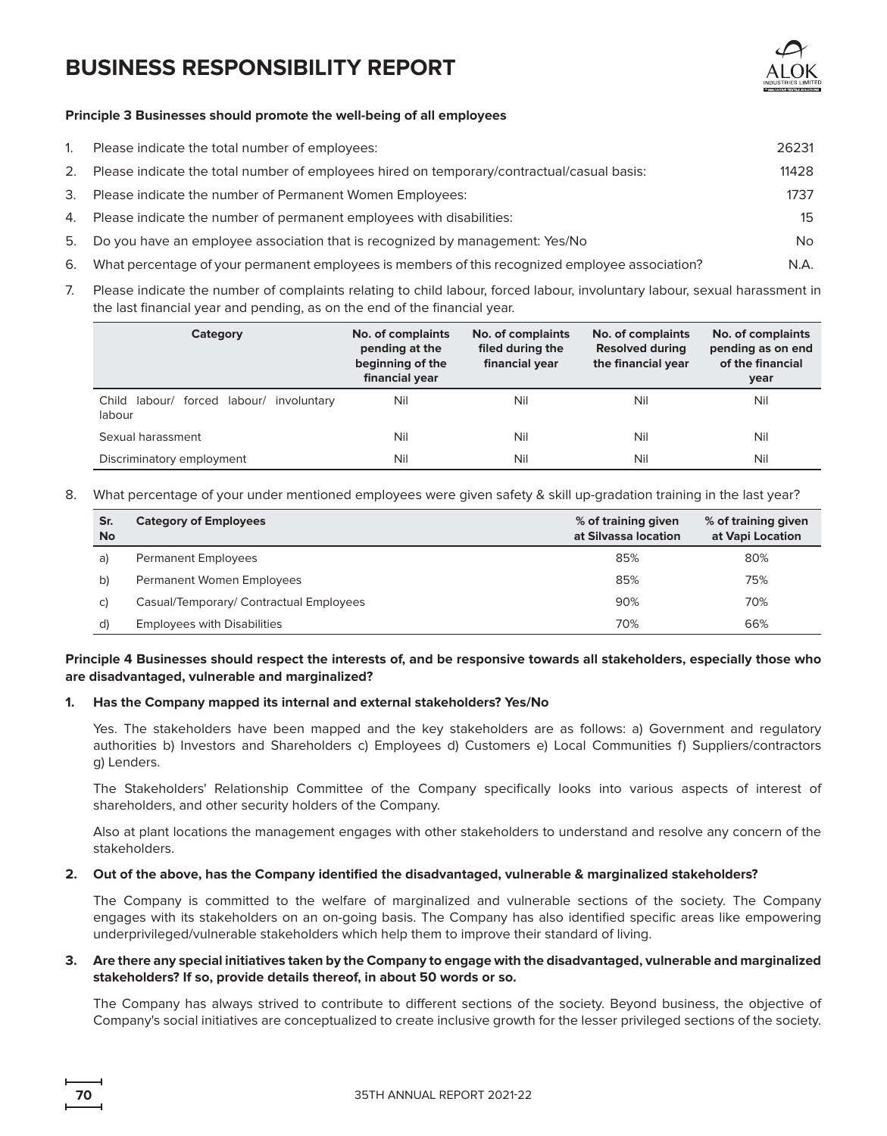

### **Principle 3 Businesses should promote the well-being of all employees**

| 1. | Please indicate the total number of employees:                                                  | 26231  |
|----|-------------------------------------------------------------------------------------------------|--------|
| 2. | Please indicate the total number of employees hired on temporary/contractual/casual basis:      | 11428  |
| 3. | Please indicate the number of Permanent Women Employees:                                        | 1737   |
| 4. | Please indicate the number of permanent employees with disabilities:                            | $15 -$ |
| 5. | Do you have an employee association that is recognized by management: Yes/No                    | No.    |
| 6. | What percentage of your permanent employees is members of this recognized employee association? | N.A.   |

7. Please indicate the number of complaints relating to child labour, forced labour, involuntary labour, sexual harassment in the last financial year and pending, as on the end of the financial year.

| Category                                              | No. of complaints<br>pending at the<br>beginning of the<br>financial year | No. of complaints<br>filed during the<br>financial year | No. of complaints<br><b>Resolved during</b><br>the financial year | No. of complaints<br>pending as on end<br>of the financial<br>year |
|-------------------------------------------------------|---------------------------------------------------------------------------|---------------------------------------------------------|-------------------------------------------------------------------|--------------------------------------------------------------------|
| labour/ forced labour/ involuntary<br>Child<br>labour | Nil                                                                       | Nil                                                     | Nil                                                               | Nil                                                                |
| Sexual harassment                                     | Nil                                                                       | Nil                                                     | Nil                                                               | Nil                                                                |
| Discriminatory employment                             | Nil                                                                       | Nil                                                     | Nil                                                               | Nil                                                                |

8. What percentage of your under mentioned employees were given safety & skill up-gradation training in the last year?

| Sr.<br><b>No</b> | <b>Category of Employees</b>            | % of training given<br>at Silvassa location | % of training given<br>at Vapi Location |
|------------------|-----------------------------------------|---------------------------------------------|-----------------------------------------|
| a)               | <b>Permanent Employees</b>              | 85%                                         | 80%                                     |
| b)               | Permanent Women Employees               | 85%                                         | 75%                                     |
| C)               | Casual/Temporary/ Contractual Employees | 90%                                         | 70%                                     |
| d)               | <b>Employees with Disabilities</b>      | 70%                                         | 66%                                     |

## **Principle 4 Businesses should respect the interests of, and be responsive towards all stakeholders, especially those who are disadvantaged, vulnerable and marginalized?**

### **1. Has the Company mapped its internal and external stakeholders? Yes/No**

Yes. The stakeholders have been mapped and the key stakeholders are as follows: a) Government and regulatory authorities b) Investors and Shareholders c) Employees d) Customers e) Local Communities f) Suppliers/contractors g) Lenders.

The Stakeholders' Relationship Committee of the Company specifically looks into various aspects of interest of shareholders, and other security holders of the Company.

Also at plant locations the management engages with other stakeholders to understand and resolve any concern of the stakeholders.

## **2. Out of the above, has the Company identified the disadvantaged, vulnerable & marginalized stakeholders?**

The Company is committed to the welfare of marginalized and vulnerable sections of the society. The Company engages with its stakeholders on an on-going basis. The Company has also identified specific areas like empowering underprivileged/vulnerable stakeholders which help them to improve their standard of living.

### **3. Are there any special initiatives taken by the Company to engage with the disadvantaged, vulnerable and marginalized stakeholders? If so, provide details thereof, in about 50 words or so.**

The Company has always strived to contribute to different sections of the society. Beyond business, the objective of Company's social initiatives are conceptualized to create inclusive growth for the lesser privileged sections of the society.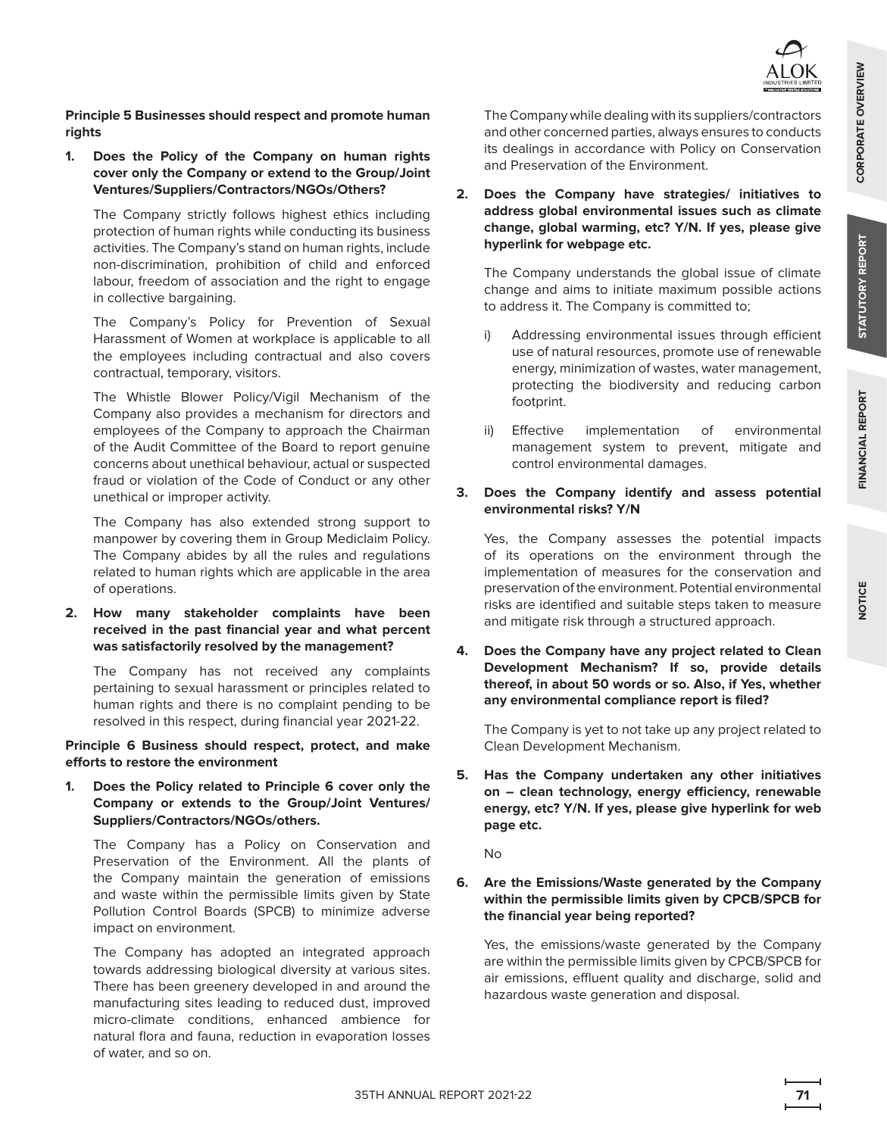**Principle 5 Businesses should respect and promote human rights**

**1. Does the Policy of the Company on human rights cover only the Company or extend to the Group/Joint Ventures/Suppliers/Contractors/NGOs/Others?**

The Company strictly follows highest ethics including protection of human rights while conducting its business activities. The Company's stand on human rights, include non-discrimination, prohibition of child and enforced labour, freedom of association and the right to engage in collective bargaining.

The Company's Policy for Prevention of Sexual Harassment of Women at workplace is applicable to all the employees including contractual and also covers contractual, temporary, visitors.

The Whistle Blower Policy/Vigil Mechanism of the Company also provides a mechanism for directors and employees of the Company to approach the Chairman of the Audit Committee of the Board to report genuine concerns about unethical behaviour, actual or suspected fraud or violation of the Code of Conduct or any other unethical or improper activity.

The Company has also extended strong support to manpower by covering them in Group Mediclaim Policy. The Company abides by all the rules and regulations related to human rights which are applicable in the area of operations.

**2. How many stakeholder complaints have been received in the past financial year and what percent was satisfactorily resolved by the management?**

The Company has not received any complaints pertaining to sexual harassment or principles related to human rights and there is no complaint pending to be resolved in this respect, during financial year 2021-22.

**Principle 6 Business should respect, protect, and make efforts to restore the environment**

**1. Does the Policy related to Principle 6 cover only the Company or extends to the Group/Joint Ventures/ Suppliers/Contractors/NGOs/others.**

The Company has a Policy on Conservation and Preservation of the Environment. All the plants of the Company maintain the generation of emissions and waste within the permissible limits given by State Pollution Control Boards (SPCB) to minimize adverse impact on environment.

The Company has adopted an integrated approach towards addressing biological diversity at various sites. There has been greenery developed in and around the manufacturing sites leading to reduced dust, improved micro-climate conditions, enhanced ambience for natural flora and fauna, reduction in evaporation losses of water, and so on.

The Company while dealing with its suppliers/contractors and other concerned parties, always ensures to conducts its dealings in accordance with Policy on Conservation and Preservation of the Environment.

**2. Does the Company have strategies/ initiatives to address global environmental issues such as climate change, global warming, etc? Y/N. If yes, please give hyperlink for webpage etc.**

The Company understands the global issue of climate change and aims to initiate maximum possible actions to address it. The Company is committed to;

- i) Addressing environmental issues through efficient use of natural resources, promote use of renewable energy, minimization of wastes, water management, protecting the biodiversity and reducing carbon footprint.
- ii) Effective implementation of environmental management system to prevent, mitigate and control environmental damages.

## **3. Does the Company identify and assess potential environmental risks? Y/N**

Yes, the Company assesses the potential impacts of its operations on the environment through the implementation of measures for the conservation and preservation of the environment. Potential environmental risks are identified and suitable steps taken to measure and mitigate risk through a structured approach.

**4. Does the Company have any project related to Clean Development Mechanism? If so, provide details thereof, in about 50 words or so. Also, if Yes, whether any environmental compliance report is filed?**

The Company is yet to not take up any project related to Clean Development Mechanism.

**5. Has the Company undertaken any other initiatives on – clean technology, energy efficiency, renewable energy, etc? Y/N. If yes, please give hyperlink for web page etc.**

No

### **6. Are the Emissions/Waste generated by the Company within the permissible limits given by CPCB/SPCB for the financial year being reported?**

Yes, the emissions/waste generated by the Company are within the permissible limits given by CPCB/SPCB for air emissions, effluent quality and discharge, solid and hazardous waste generation and disposal.